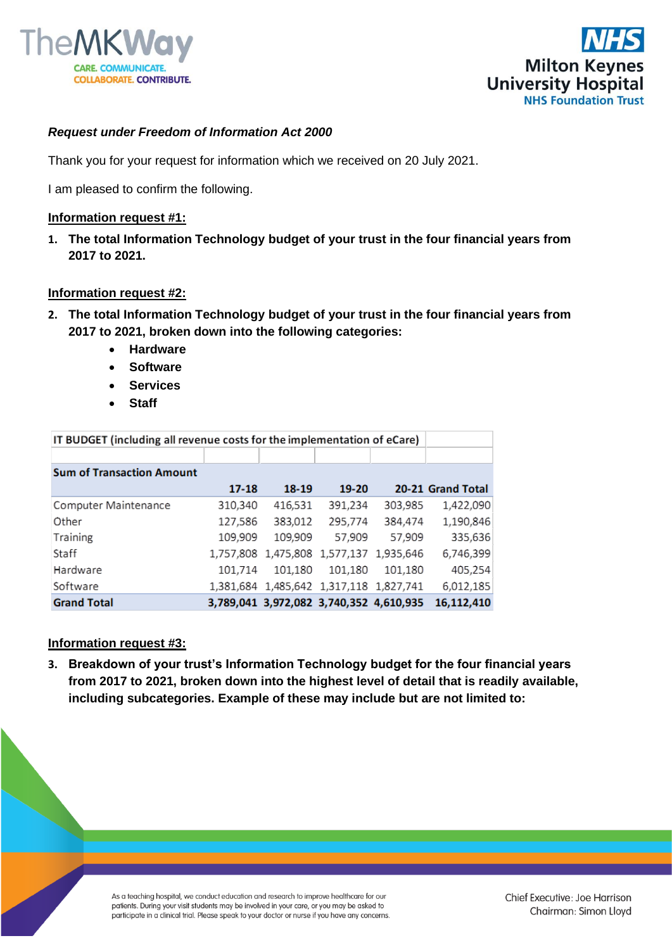



## *Request under Freedom of Information Act 2000*

Thank you for your request for information which we received on 20 July 2021.

I am pleased to confirm the following.

## **Information request #1:**

**1. The total Information Technology budget of your trust in the four financial years from 2017 to 2021.** 

## **Information request #2:**

- **2. The total Information Technology budget of your trust in the four financial years from 2017 to 2021, broken down into the following categories:**
	- **Hardware**
	- **Software**
	- **Services**
	- **Staff**

| IT BUDGET (including all revenue costs for the implementation of eCare) |           |         |                                         |         |                   |
|-------------------------------------------------------------------------|-----------|---------|-----------------------------------------|---------|-------------------|
|                                                                         |           |         |                                         |         |                   |
| <b>Sum of Transaction Amount</b>                                        |           |         |                                         |         |                   |
|                                                                         | $17 - 18$ | 18-19   | $19-20$                                 |         | 20-21 Grand Total |
| Computer Maintenance                                                    | 310,340   | 416,531 | 391,234                                 | 303,985 | 1,422,090         |
| Other                                                                   | 127,586   | 383,012 | 295,774                                 | 384,474 | 1,190,846         |
| Training                                                                | 109,909   | 109,909 | 57,909                                  | 57,909  | 335,636           |
| Staff                                                                   |           |         | 1,757,808 1,475,808 1,577,137 1,935,646 |         | 6,746,399         |
| Hardware                                                                | 101,714   | 101,180 | 101,180                                 | 101,180 | 405,254           |
| Software                                                                |           |         | 1,381,684 1,485,642 1,317,118 1,827,741 |         | 6,012,185         |
| <b>Grand Total</b>                                                      |           |         | 3,789,041 3,972,082 3,740,352 4,610,935 |         | 16,112,410        |

## **Information request #3:**

**3. Breakdown of your trust's Information Technology budget for the four financial years from 2017 to 2021, broken down into the highest level of detail that is readily available, including subcategories. Example of these may include but are not limited to:**

> As a teaching hospital, we conduct education and research to improve healthcare for our patients. During your visit students may be involved in your care, or you may be asked to participate in a clinical trial. Please speak to your doctor or nurse if you have any concerns.